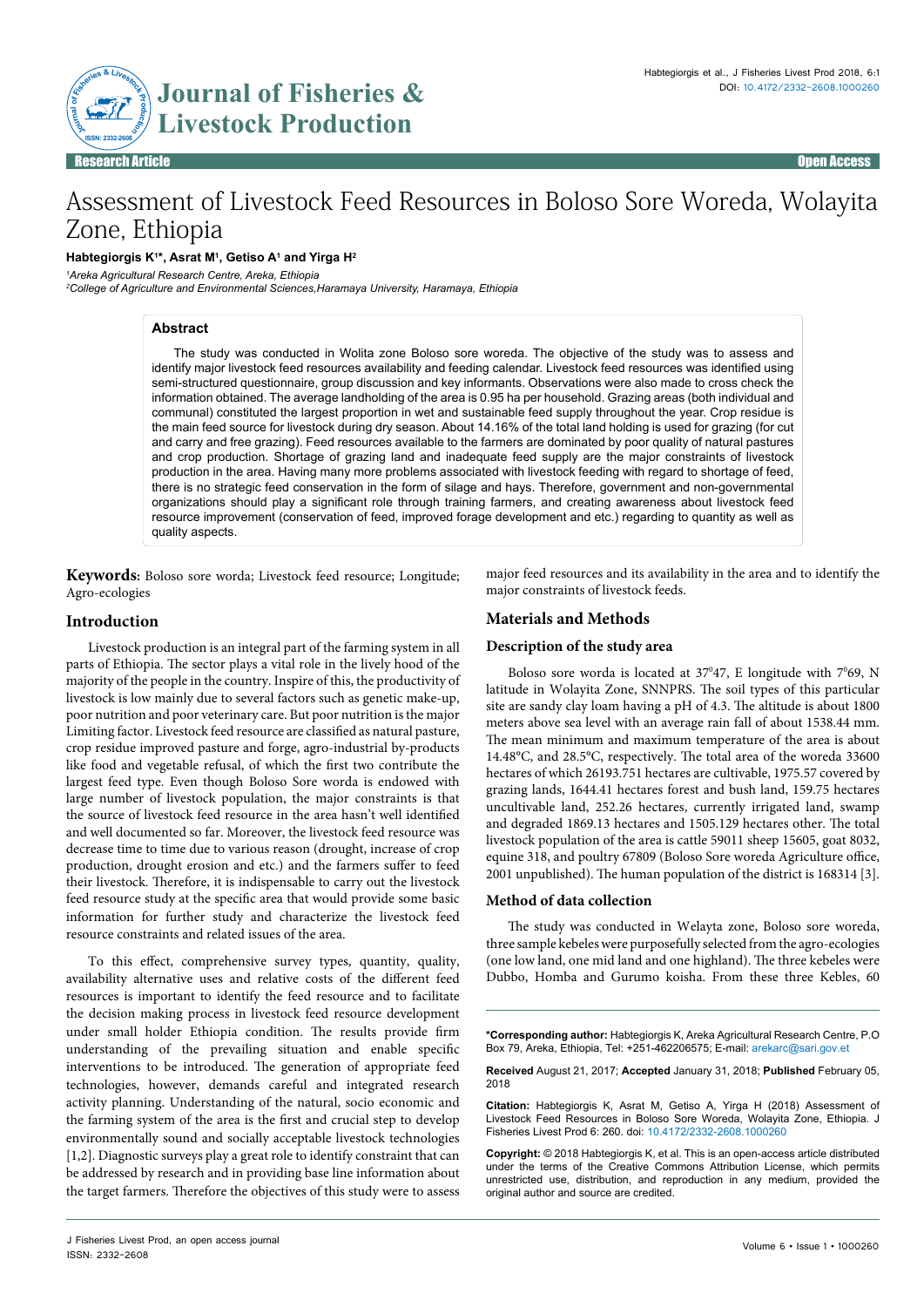

# Assessment of Livestock Feed Resources in Boloso Sore Woreda, Wolayita Zone, Ethiopia

### **Habtegiorgis K1 \*, Asrat M1 , Getiso A1 and Yirga H2**

*1 Areka Agricultural Research Centre, Areka, Ethiopia*

*2 College of Agriculture and Environmental Sciences,Haramaya University, Haramaya, Ethiopia*

#### **Abstract**

The study was conducted in Wolita zone Boloso sore woreda. The objective of the study was to assess and identify major livestock feed resources availability and feeding calendar. Livestock feed resources was identified using semi-structured questionnaire, group discussion and key informants. Observations were also made to cross check the information obtained. The average landholding of the area is 0.95 ha per household. Grazing areas (both individual and communal) constituted the largest proportion in wet and sustainable feed supply throughout the year. Crop residue is the main feed source for livestock during dry season. About 14.16% of the total land holding is used for grazing (for cut and carry and free grazing). Feed resources available to the farmers are dominated by poor quality of natural pastures and crop production. Shortage of grazing land and inadequate feed supply are the major constraints of livestock production in the area. Having many more problems associated with livestock feeding with regard to shortage of feed, there is no strategic feed conservation in the form of silage and hays. Therefore, government and non-governmental organizations should play a significant role through training farmers, and creating awareness about livestock feed resource improvement (conservation of feed, improved forage development and etc.) regarding to quantity as well as quality aspects.

**Keywords:** Boloso sore worda; Livestock feed resource; Longitude; Agro-ecologies

#### **Introduction**

Livestock production is an integral part of the farming system in all parts of Ethiopia. The sector plays a vital role in the lively hood of the majority of the people in the country. Inspire of this, the productivity of livestock is low mainly due to several factors such as genetic make-up, poor nutrition and poor veterinary care. But poor nutrition is the major Limiting factor. Livestock feed resource are classified as natural pasture, crop residue improved pasture and forge, agro-industrial by-products like food and vegetable refusal, of which the first two contribute the largest feed type. Even though Boloso Sore worda is endowed with large number of livestock population, the major constraints is that the source of livestock feed resource in the area hasn't well identified and well documented so far. Moreover, the livestock feed resource was decrease time to time due to various reason (drought, increase of crop production, drought erosion and etc.) and the farmers suffer to feed their livestock. Therefore, it is indispensable to carry out the livestock feed resource study at the specific area that would provide some basic information for further study and characterize the livestock feed resource constraints and related issues of the area.

To this effect, comprehensive survey types, quantity, quality, availability alternative uses and relative costs of the different feed resources is important to identify the feed resource and to facilitate the decision making process in livestock feed resource development under small holder Ethiopia condition. The results provide firm understanding of the prevailing situation and enable specific interventions to be introduced. The generation of appropriate feed technologies, however, demands careful and integrated research activity planning. Understanding of the natural, socio economic and the farming system of the area is the first and crucial step to develop environmentally sound and socially acceptable livestock technologies [1,2]. Diagnostic surveys play a great role to identify constraint that can be addressed by research and in providing base line information about the target farmers. Therefore the objectives of this study were to assess major feed resources and its availability in the area and to identify the major constraints of livestock feeds.

### **Materials and Methods**

## **Description of the study area**

Boloso sore worda is located at  $37^{\circ}47$ , E longitude with  $7^{\circ}69$ , N latitude in Wolayita Zone, SNNPRS. The soil types of this particular site are sandy clay loam having a pH of 4.3. The altitude is about 1800 meters above sea level with an average rain fall of about 1538.44 mm. The mean minimum and maximum temperature of the area is about 14.48°C, and 28.5°C, respectively. The total area of the woreda 33600 hectares of which 26193.751 hectares are cultivable, 1975.57 covered by grazing lands, 1644.41 hectares forest and bush land, 159.75 hectares uncultivable land, 252.26 hectares, currently irrigated land, swamp and degraded 1869.13 hectares and 1505.129 hectares other. The total livestock population of the area is cattle 59011 sheep 15605, goat 8032, equine 318, and poultry 67809 (Boloso Sore woreda Agriculture office, 2001 unpublished). The human population of the district is 168314 [3].

#### **Method of data collection**

The study was conducted in Welayta zone, Boloso sore woreda, three sample kebeles were purposefully selected from the agro-ecologies (one low land, one mid land and one highland). The three kebeles were Dubbo, Homba and Gurumo koisha. From these three Kebles, 60

**\*Corresponding author:** Habtegiorgis K, Areka Agricultural Research Centre, P.O Box 79, Areka, Ethiopia, Tel: +251-462206575; E-mail: arekarc@sari.gov.et

**Received** August 21, 2017; **Accepted** January 31, 2018; **Published** February 05, 2018

**Citation:** Habtegiorgis K, Asrat M, Getiso A, Yirga H (2018) Assessment of Livestock Feed Resources in Boloso Sore Woreda, Wolayita Zone, Ethiopia. J Fisheries Livest Prod 6: 260. doi: 10.4172/2332-2608.1000260

**Copyright:** © 2018 Habtegiorgis K, et al. This is an open-access article distributed under the terms of the Creative Commons Attribution License, which permits unrestricted use, distribution, and reproduction in any medium, provided the original author and source are credited.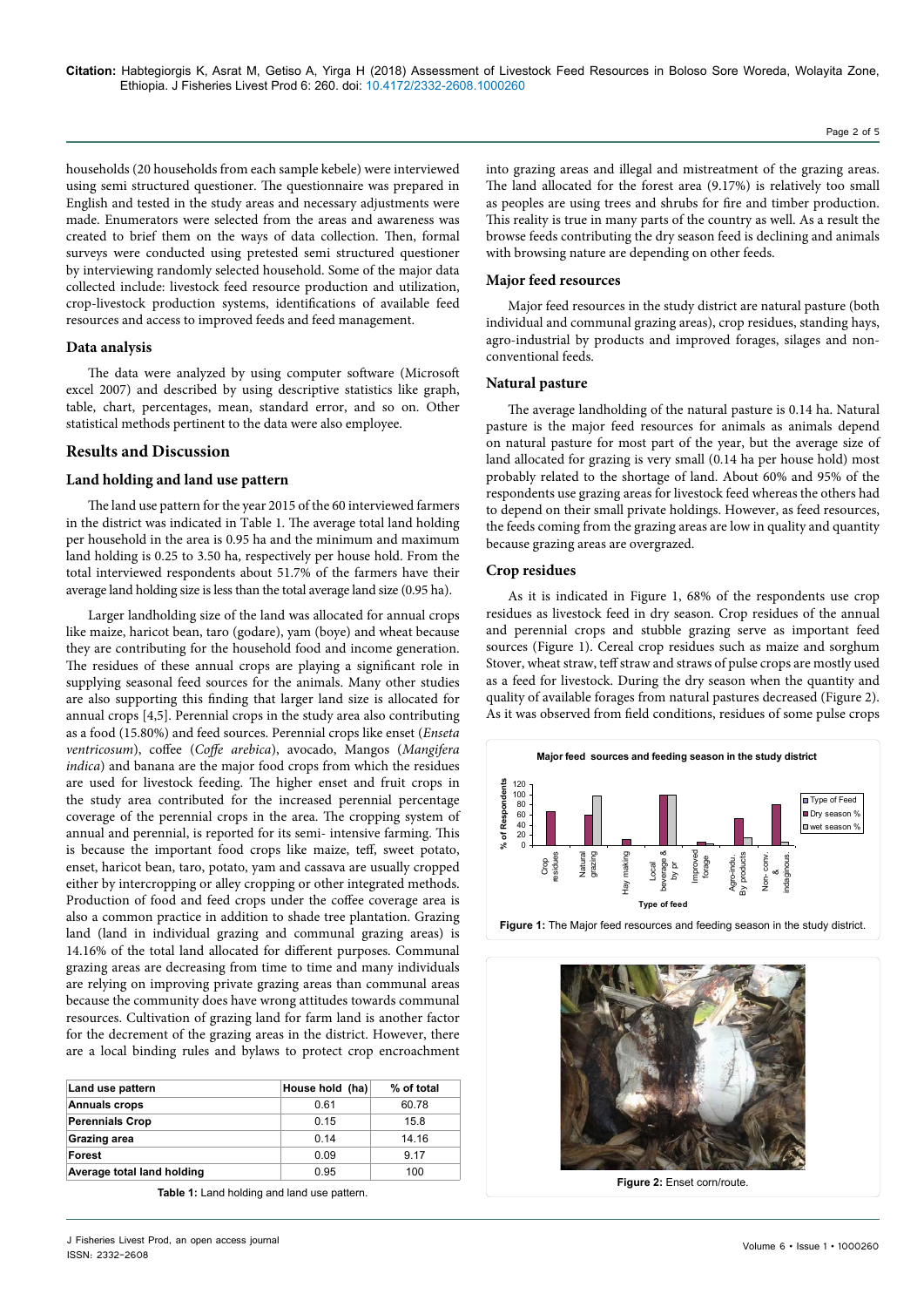Page 2 of 5

households (20 households from each sample kebele) were interviewed using semi structured questioner. The questionnaire was prepared in English and tested in the study areas and necessary adjustments were made. Enumerators were selected from the areas and awareness was created to brief them on the ways of data collection. Then, formal surveys were conducted using pretested semi structured questioner by interviewing randomly selected household. Some of the major data collected include: livestock feed resource production and utilization, crop-livestock production systems, identifications of available feed resources and access to improved feeds and feed management.

#### **Data analysis**

The data were analyzed by using computer software (Microsoft excel 2007) and described by using descriptive statistics like graph, table, chart, percentages, mean, standard error, and so on. Other statistical methods pertinent to the data were also employee.

#### **Results and Discussion**

#### **Land holding and land use pattern**

The land use pattern for the year 2015 of the 60 interviewed farmers in the district was indicated in Table 1. The average total land holding per household in the area is 0.95 ha and the minimum and maximum land holding is 0.25 to 3.50 ha, respectively per house hold. From the total interviewed respondents about 51.7% of the farmers have their average land holding size is less than the total average land size (0.95 ha).

Larger landholding size of the land was allocated for annual crops like maize, haricot bean, taro (godare), yam (boye) and wheat because they are contributing for the household food and income generation. The residues of these annual crops are playing a significant role in supplying seasonal feed sources for the animals. Many other studies are also supporting this finding that larger land size is allocated for annual crops [4,5]. Perennial crops in the study area also contributing as a food (15.80%) and feed sources. Perennial crops like enset (*Enseta ventricosum*), coffee (*Coffe arebica*), avocado, Mangos (*Mangifera indica*) and banana are the major food crops from which the residues are used for livestock feeding. The higher enset and fruit crops in the study area contributed for the increased perennial percentage coverage of the perennial crops in the area. The cropping system of annual and perennial, is reported for its semi- intensive farming. This is because the important food crops like maize, teff, sweet potato, enset, haricot bean, taro, potato, yam and cassava are usually cropped either by intercropping or alley cropping or other integrated methods. Production of food and feed crops under the coffee coverage area is also a common practice in addition to shade tree plantation. Grazing land (land in individual grazing and communal grazing areas) is 14.16% of the total land allocated for different purposes. Communal grazing areas are decreasing from time to time and many individuals are relying on improving private grazing areas than communal areas because the community does have wrong attitudes towards communal resources. Cultivation of grazing land for farm land is another factor for the decrement of the grazing areas in the district. However, there are a local binding rules and bylaws to protect crop encroachment

| Land use pattern           | House hold (ha) | % of total |
|----------------------------|-----------------|------------|
| Annuals crops              | 0.61            | 60.78      |
| <b>Perennials Crop</b>     | 0.15            | 15.8       |
| Grazing area               | 0.14            | 14.16      |
| Forest                     | 0.09            | 9 1 7      |
| Average total land holding | 0.95            | 100        |

**Table 1:** Land holding and land use pattern.

into grazing areas and illegal and mistreatment of the grazing areas. The land allocated for the forest area (9.17%) is relatively too small as peoples are using trees and shrubs for fire and timber production. This reality is true in many parts of the country as well. As a result the browse feeds contributing the dry season feed is declining and animals with browsing nature are depending on other feeds.

## **Major feed resources**

Major feed resources in the study district are natural pasture (both individual and communal grazing areas), crop residues, standing hays, agro-industrial by products and improved forages, silages and nonconventional feeds.

#### **Natural pasture**

The average landholding of the natural pasture is 0.14 ha. Natural pasture is the major feed resources for animals as animals depend on natural pasture for most part of the year, but the average size of land allocated for grazing is very small (0.14 ha per house hold) most probably related to the shortage of land. About 60% and 95% of the respondents use grazing areas for livestock feed whereas the others had to depend on their small private holdings. However, as feed resources, the feeds coming from the grazing areas are low in quality and quantity because grazing areas are overgrazed.

#### **Crop residues**

As it is indicated in Figure 1, 68% of the respondents use crop residues as livestock feed in dry season. Crop residues of the annual and perennial crops and stubble grazing serve as important feed sources (Figure 1). Cereal crop residues such as maize and sorghum Stover, wheat straw, teff straw and straws of pulse crops are mostly used as a feed for livestock. During the dry season when the quantity and quality of available forages from natural pastures decreased (Figure 2). As it was observed from field conditions, residues of some pulse crops



**Figure 1:** The Major feed resources and feeding season in the study district.



**Figure 2:** Enset corn/route.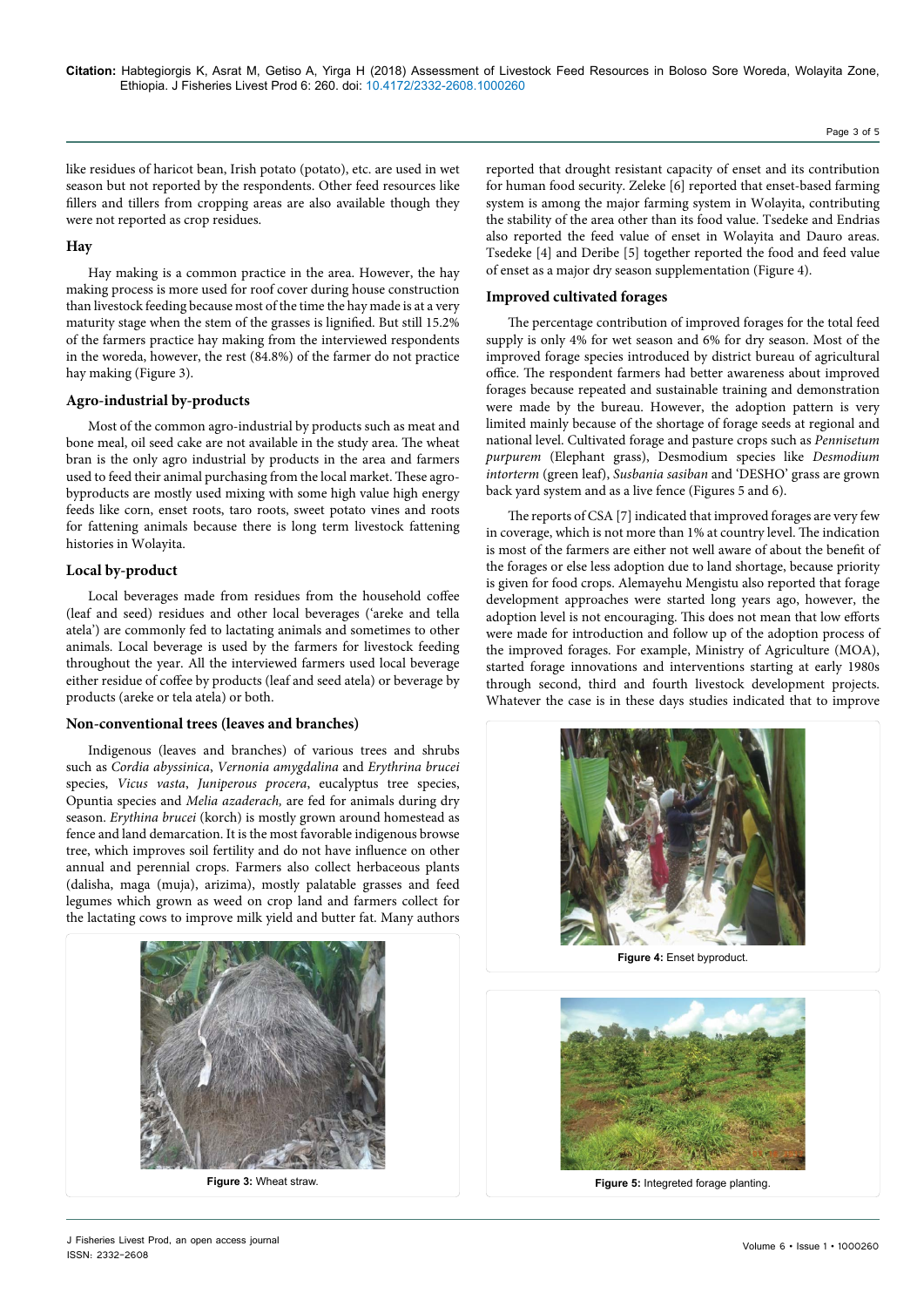like residues of haricot bean, Irish potato (potato), etc. are used in wet season but not reported by the respondents. Other feed resources like fillers and tillers from cropping areas are also available though they were not reported as crop residues.

## **Hay**

Hay making is a common practice in the area. However, the hay making process is more used for roof cover during house construction than livestock feeding because most of the time the hay made is at a very maturity stage when the stem of the grasses is lignified. But still 15.2% of the farmers practice hay making from the interviewed respondents in the woreda, however, the rest (84.8%) of the farmer do not practice hay making (Figure 3).

## **Agro-industrial by-products**

Most of the common agro-industrial by products such as meat and bone meal, oil seed cake are not available in the study area. The wheat bran is the only agro industrial by products in the area and farmers used to feed their animal purchasing from the local market. These agrobyproducts are mostly used mixing with some high value high energy feeds like corn, enset roots, taro roots, sweet potato vines and roots for fattening animals because there is long term livestock fattening histories in Wolayita.

## **Local by-product**

Local beverages made from residues from the household coffee (leaf and seed) residues and other local beverages ('areke and tella atela') are commonly fed to lactating animals and sometimes to other animals. Local beverage is used by the farmers for livestock feeding throughout the year. All the interviewed farmers used local beverage either residue of coffee by products (leaf and seed atela) or beverage by products (areke or tela atela) or both.

## **Non-conventional trees (leaves and branches)**

Indigenous (leaves and branches) of various trees and shrubs such as *Cordia abyssinica*, *Vernonia amygdalina* and *Erythrina brucei*  species, *Vicus vasta*, *Juniperous procera*, eucalyptus tree species, Opuntia species and *Melia azaderach,* are fed for animals during dry season. *Erythina brucei* (korch) is mostly grown around homestead as fence and land demarcation. It is the most favorable indigenous browse tree, which improves soil fertility and do not have influence on other annual and perennial crops. Farmers also collect herbaceous plants (dalisha, maga (muja), arizima), mostly palatable grasses and feed legumes which grown as weed on crop land and farmers collect for the lactating cows to improve milk yield and butter fat. Many authors



reported that drought resistant capacity of enset and its contribution for human food security. Zeleke [6] reported that enset-based farming system is among the major farming system in Wolayita, contributing the stability of the area other than its food value. Tsedeke and Endrias also reported the feed value of enset in Wolayita and Dauro areas. Tsedeke [4] and Deribe [5] together reported the food and feed value of enset as a major dry season supplementation (Figure 4).

# **Improved cultivated forages**

The percentage contribution of improved forages for the total feed supply is only 4% for wet season and 6% for dry season. Most of the improved forage species introduced by district bureau of agricultural office. The respondent farmers had better awareness about improved forages because repeated and sustainable training and demonstration were made by the bureau. However, the adoption pattern is very limited mainly because of the shortage of forage seeds at regional and national level. Cultivated forage and pasture crops such as *Pennisetum purpurem* (Elephant grass), Desmodium species like *Desmodium intorterm* (green leaf), *Susbania sasiban* and 'DESHO' grass are grown back yard system and as a live fence (Figures 5 and 6).

The reports of CSA [7] indicated that improved forages are very few in coverage, which is not more than 1% at country level. The indication is most of the farmers are either not well aware of about the benefit of the forages or else less adoption due to land shortage, because priority is given for food crops. Alemayehu Mengistu also reported that forage development approaches were started long years ago, however, the adoption level is not encouraging. This does not mean that low efforts were made for introduction and follow up of the adoption process of the improved forages. For example, Ministry of Agriculture (MOA), started forage innovations and interventions starting at early 1980s through second, third and fourth livestock development projects. Whatever the case is in these days studies indicated that to improve



**Figure 4:** Enset byproduct.



**Figure 5:** Integreted forage planting.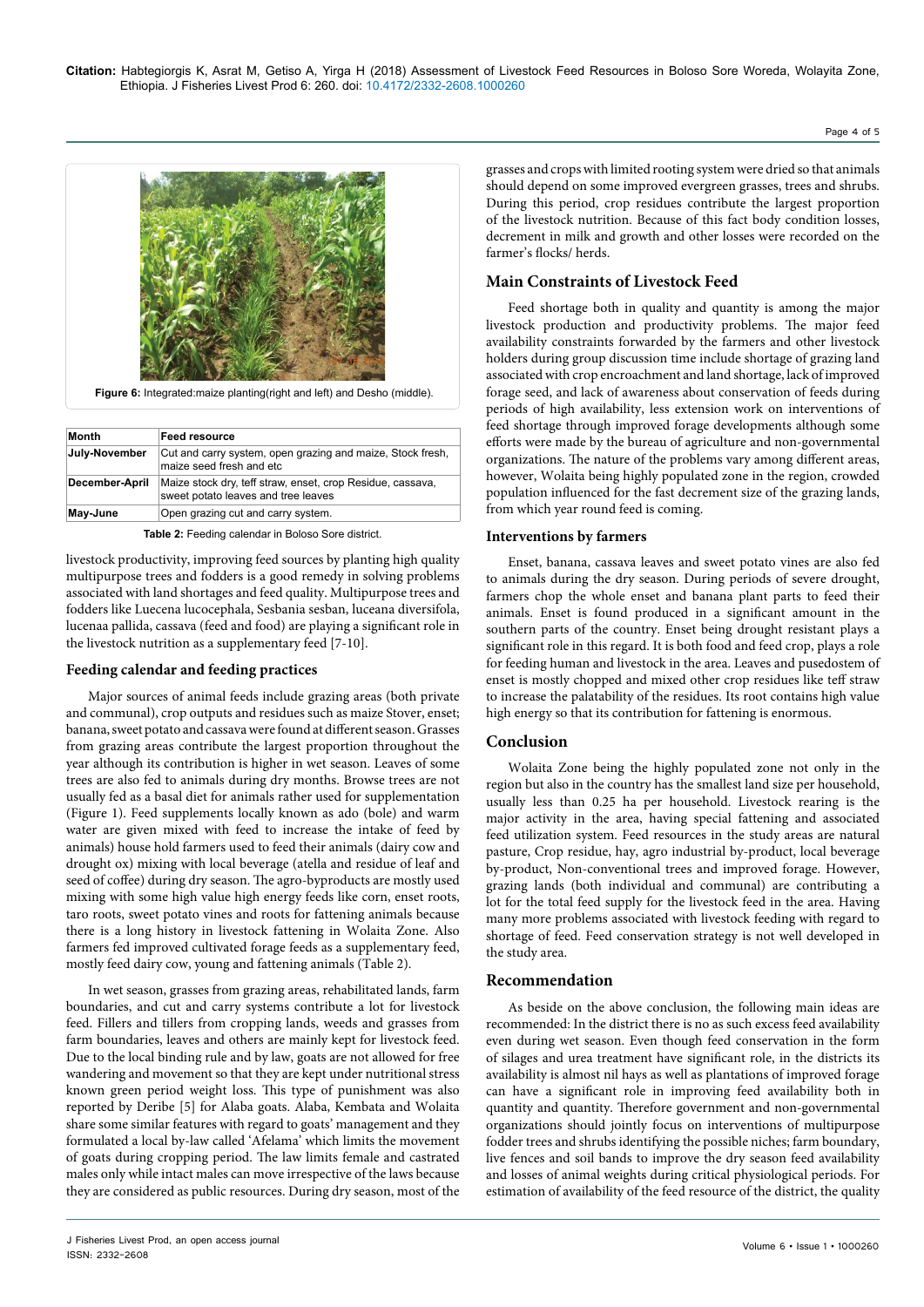Page 4 of 5



**Figure 6:** Integrated:maize planting(right and left) and Desho (middle).

| Month          | <b>Feed resource</b>                                                                              |
|----------------|---------------------------------------------------------------------------------------------------|
| July-November  | Cut and carry system, open grazing and maize, Stock fresh,<br>maize seed fresh and etc.           |
| December-April | Maize stock dry, teff straw, enset, crop Residue, cassava,<br>sweet potato leaves and tree leaves |
| May-June       | Open grazing cut and carry system.                                                                |

**Table 2:** Feeding calendar in Boloso Sore district.

livestock productivity, improving feed sources by planting high quality multipurpose trees and fodders is a good remedy in solving problems associated with land shortages and feed quality. Multipurpose trees and fodders like Luecena lucocephala, Sesbania sesban, luceana diversifola, lucenaa pallida, cassava (feed and food) are playing a significant role in the livestock nutrition as a supplementary feed [7-10].

#### **Feeding calendar and feeding practices**

Major sources of animal feeds include grazing areas (both private and communal), crop outputs and residues such as maize Stover, enset; banana, sweet potato and cassava were found at different season. Grasses from grazing areas contribute the largest proportion throughout the year although its contribution is higher in wet season. Leaves of some trees are also fed to animals during dry months. Browse trees are not usually fed as a basal diet for animals rather used for supplementation (Figure 1). Feed supplements locally known as ado (bole) and warm water are given mixed with feed to increase the intake of feed by animals) house hold farmers used to feed their animals (dairy cow and drought ox) mixing with local beverage (atella and residue of leaf and seed of coffee) during dry season. The agro-byproducts are mostly used mixing with some high value high energy feeds like corn, enset roots, taro roots, sweet potato vines and roots for fattening animals because there is a long history in livestock fattening in Wolaita Zone. Also farmers fed improved cultivated forage feeds as a supplementary feed, mostly feed dairy cow, young and fattening animals (Table 2).

In wet season, grasses from grazing areas, rehabilitated lands, farm boundaries, and cut and carry systems contribute a lot for livestock feed. Fillers and tillers from cropping lands, weeds and grasses from farm boundaries, leaves and others are mainly kept for livestock feed. Due to the local binding rule and by law, goats are not allowed for free wandering and movement so that they are kept under nutritional stress known green period weight loss. This type of punishment was also reported by Deribe [5] for Alaba goats. Alaba, Kembata and Wolaita share some similar features with regard to goats' management and they formulated a local by-law called 'Afelama' which limits the movement of goats during cropping period. The law limits female and castrated males only while intact males can move irrespective of the laws because they are considered as public resources. During dry season, most of the grasses and crops with limited rooting system were dried so that animals should depend on some improved evergreen grasses, trees and shrubs. During this period, crop residues contribute the largest proportion of the livestock nutrition. Because of this fact body condition losses, decrement in milk and growth and other losses were recorded on the farmer's flocks/ herds.

# **Main Constraints of Livestock Feed**

Feed shortage both in quality and quantity is among the major livestock production and productivity problems. The major feed availability constraints forwarded by the farmers and other livestock holders during group discussion time include shortage of grazing land associated with crop encroachment and land shortage, lack of improved forage seed, and lack of awareness about conservation of feeds during periods of high availability, less extension work on interventions of feed shortage through improved forage developments although some efforts were made by the bureau of agriculture and non-governmental organizations. The nature of the problems vary among different areas, however, Wolaita being highly populated zone in the region, crowded population influenced for the fast decrement size of the grazing lands, from which year round feed is coming.

## **Interventions by farmers**

Enset, banana, cassava leaves and sweet potato vines are also fed to animals during the dry season. During periods of severe drought, farmers chop the whole enset and banana plant parts to feed their animals. Enset is found produced in a significant amount in the southern parts of the country. Enset being drought resistant plays a significant role in this regard. It is both food and feed crop, plays a role for feeding human and livestock in the area. Leaves and pusedostem of enset is mostly chopped and mixed other crop residues like teff straw to increase the palatability of the residues. Its root contains high value high energy so that its contribution for fattening is enormous.

## **Conclusion**

Wolaita Zone being the highly populated zone not only in the region but also in the country has the smallest land size per household, usually less than 0.25 ha per household. Livestock rearing is the major activity in the area, having special fattening and associated feed utilization system. Feed resources in the study areas are natural pasture, Crop residue, hay, agro industrial by-product, local beverage by-product, Non-conventional trees and improved forage. However, grazing lands (both individual and communal) are contributing a lot for the total feed supply for the livestock feed in the area. Having many more problems associated with livestock feeding with regard to shortage of feed. Feed conservation strategy is not well developed in the study area.

# **Recommendation**

As beside on the above conclusion, the following main ideas are recommended: In the district there is no as such excess feed availability even during wet season. Even though feed conservation in the form of silages and urea treatment have significant role, in the districts its availability is almost nil hays as well as plantations of improved forage can have a significant role in improving feed availability both in quantity and quantity. Therefore government and non-governmental organizations should jointly focus on interventions of multipurpose fodder trees and shrubs identifying the possible niches; farm boundary, live fences and soil bands to improve the dry season feed availability and losses of animal weights during critical physiological periods. For estimation of availability of the feed resource of the district, the quality